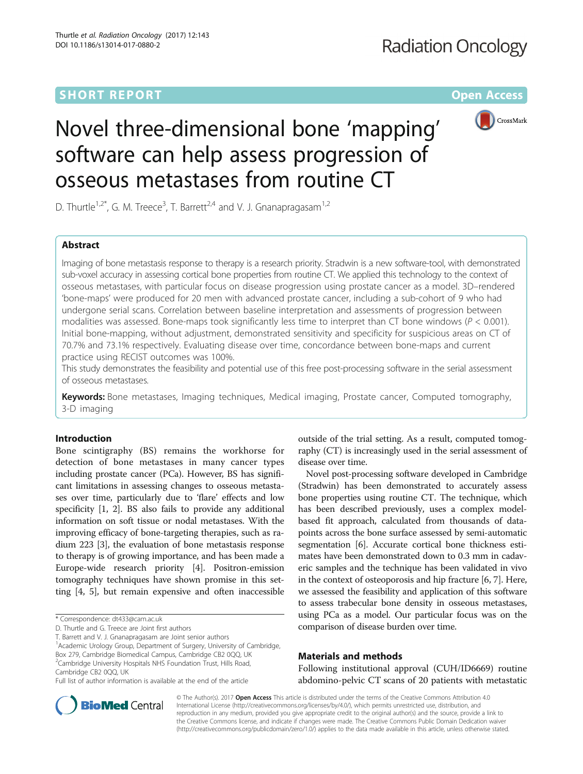### **SHORT REPORT CONSUMING THE CONSUMING OPEN ACCESS**



## Novel three-dimensional bone 'mapping' software can help assess progression of osseous metastases from routine CT

D. Thurtle<sup>1,2\*</sup>, G. M. Treece<sup>3</sup>, T. Barrett<sup>2,4</sup> and V. J. Gnanapragasam<sup>1,2</sup>

### Abstract

Imaging of bone metastasis response to therapy is a research priority. Stradwin is a new software-tool, with demonstrated sub-voxel accuracy in assessing cortical bone properties from routine CT. We applied this technology to the context of osseous metastases, with particular focus on disease progression using prostate cancer as a model. 3D–rendered 'bone-maps' were produced for 20 men with advanced prostate cancer, including a sub-cohort of 9 who had undergone serial scans. Correlation between baseline interpretation and assessments of progression between modalities was assessed. Bone-maps took significantly less time to interpret than CT bone windows ( $P < 0.001$ ). Initial bone-mapping, without adjustment, demonstrated sensitivity and specificity for suspicious areas on CT of 70.7% and 73.1% respectively. Evaluating disease over time, concordance between bone-maps and current practice using RECIST outcomes was 100%.

This study demonstrates the feasibility and potential use of this free post-processing software in the serial assessment of osseous metastases.

Keywords: Bone metastases, Imaging techniques, Medical imaging, Prostate cancer, Computed tomography, 3-D imaging

#### Introduction

Bone scintigraphy (BS) remains the workhorse for detection of bone metastases in many cancer types including prostate cancer (PCa). However, BS has significant limitations in assessing changes to osseous metastases over time, particularly due to 'flare' effects and low specificity [[1, 2\]](#page-3-0). BS also fails to provide any additional information on soft tissue or nodal metastases. With the improving efficacy of bone-targeting therapies, such as radium 223 [\[3\]](#page-3-0), the evaluation of bone metastasis response to therapy is of growing importance, and has been made a Europe-wide research priority [[4](#page-3-0)]. Positron-emission tomography techniques have shown promise in this setting [[4, 5](#page-3-0)], but remain expensive and often inaccessible

<sup>1</sup> Academic Urology Group, Department of Surgery, University of Cambridge, Box 279, Cambridge Biomedical Campus, Cambridge CB2 0QQ, UK <sup>2</sup>Cambridge University Hospitals NHS Foundation Trust, Hills Road, Cambridge CB2 0QQ, UK

outside of the trial setting. As a result, computed tomography (CT) is increasingly used in the serial assessment of disease over time.

Novel post-processing software developed in Cambridge (Stradwin) has been demonstrated to accurately assess bone properties using routine CT. The technique, which has been described previously, uses a complex modelbased fit approach, calculated from thousands of datapoints across the bone surface assessed by semi-automatic segmentation [\[6\]](#page-3-0). Accurate cortical bone thickness estimates have been demonstrated down to 0.3 mm in cadaveric samples and the technique has been validated in vivo in the context of osteoporosis and hip fracture [[6, 7](#page-3-0)]. Here, we assessed the feasibility and application of this software to assess trabecular bone density in osseous metastases, using PCa as a model. Our particular focus was on the comparison of disease burden over time.

#### Materials and methods

Following institutional approval (CUH/ID6669) routine abdomino-pelvic CT scans of 20 patients with metastatic



© The Author(s). 2017 **Open Access** This article is distributed under the terms of the Creative Commons Attribution 4.0 International License [\(http://creativecommons.org/licenses/by/4.0/](http://creativecommons.org/licenses/by/4.0/)), which permits unrestricted use, distribution, and reproduction in any medium, provided you give appropriate credit to the original author(s) and the source, provide a link to the Creative Commons license, and indicate if changes were made. The Creative Commons Public Domain Dedication waiver [\(http://creativecommons.org/publicdomain/zero/1.0/](http://creativecommons.org/publicdomain/zero/1.0/)) applies to the data made available in this article, unless otherwise stated.

<sup>\*</sup> Correspondence: [dt433@cam.ac.uk](mailto:dt433@cam.ac.uk)

D. Thurtle and G. Treece are Joint first authors

T. Barrett and V. J. Gnanapragasam are Joint senior authors

Full list of author information is available at the end of the article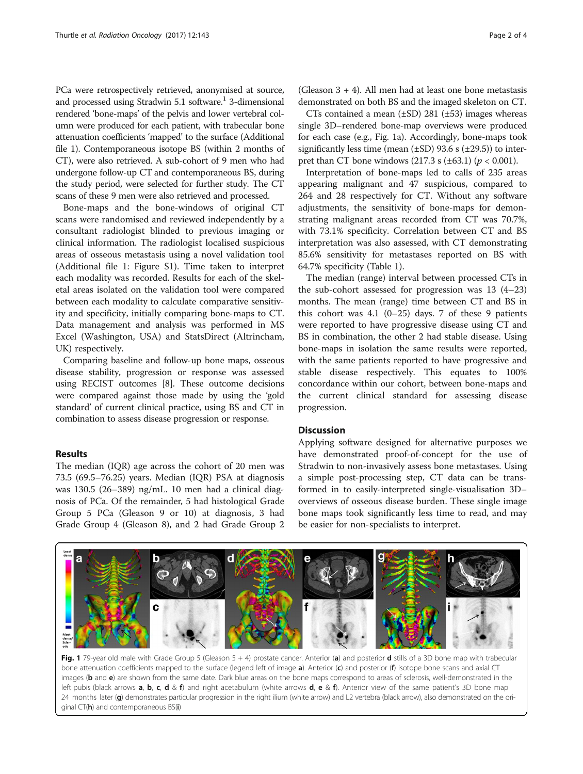<span id="page-1-0"></span>PCa were retrospectively retrieved, anonymised at source, and processed using Stradwin 5.1 software.<sup>1</sup> 3-dimensional rendered 'bone-maps' of the pelvis and lower vertebral column were produced for each patient, with trabecular bone attenuation coefficients 'mapped' to the surface (Additional file [1\)](#page-2-0). Contemporaneous isotope BS (within 2 months of CT), were also retrieved. A sub-cohort of 9 men who had undergone follow-up CT and contemporaneous BS, during the study period, were selected for further study. The CT scans of these 9 men were also retrieved and processed.

Bone-maps and the bone-windows of original CT scans were randomised and reviewed independently by a consultant radiologist blinded to previous imaging or clinical information. The radiologist localised suspicious areas of osseous metastasis using a novel validation tool (Additional file [1](#page-2-0): Figure S1). Time taken to interpret each modality was recorded. Results for each of the skeletal areas isolated on the validation tool were compared between each modality to calculate comparative sensitivity and specificity, initially comparing bone-maps to CT. Data management and analysis was performed in MS Excel (Washington, USA) and StatsDirect (Altrincham, UK) respectively.

Comparing baseline and follow-up bone maps, osseous disease stability, progression or response was assessed using RECIST outcomes [[8\]](#page-3-0). These outcome decisions were compared against those made by using the 'gold standard' of current clinical practice, using BS and CT in combination to assess disease progression or response.

#### Results

The median (IQR) age across the cohort of 20 men was 73.5 (69.5–76.25) years. Median (IQR) PSA at diagnosis was 130.5 (26–389) ng/mL. 10 men had a clinical diagnosis of PCa. Of the remainder, 5 had histological Grade Group 5 PCa (Gleason 9 or 10) at diagnosis, 3 had Grade Group 4 (Gleason 8), and 2 had Grade Group 2

(Gleason  $3 + 4$ ). All men had at least one bone metastasis demonstrated on both BS and the imaged skeleton on CT.

CTs contained a mean  $(\pm SD)$  281  $(\pm 53)$  images whereas single 3D–rendered bone-map overviews were produced for each case (e.g., Fig. 1a). Accordingly, bone-maps took significantly less time (mean  $(\pm SD)$  93.6 s  $(\pm 29.5)$ ) to interpret than CT bone windows (217.3 s ( $\pm$ 63.1) ( $p$  < 0.001).

Interpretation of bone-maps led to calls of 235 areas appearing malignant and 47 suspicious, compared to 264 and 28 respectively for CT. Without any software adjustments, the sensitivity of bone-maps for demonstrating malignant areas recorded from CT was 70.7%, with 73.1% specificity. Correlation between CT and BS interpretation was also assessed, with CT demonstrating 85.6% sensitivity for metastases reported on BS with 64.7% specificity (Table [1\)](#page-2-0).

The median (range) interval between processed CTs in the sub-cohort assessed for progression was 13 (4–23) months. The mean (range) time between CT and BS in this cohort was  $4.1$  (0-25) days. 7 of these 9 patients were reported to have progressive disease using CT and BS in combination, the other 2 had stable disease. Using bone-maps in isolation the same results were reported, with the same patients reported to have progressive and stable disease respectively. This equates to 100% concordance within our cohort, between bone-maps and the current clinical standard for assessing disease progression.

#### **Discussion**

Applying software designed for alternative purposes we have demonstrated proof-of-concept for the use of Stradwin to non-invasively assess bone metastases. Using a simple post-processing step, CT data can be transformed in to easily-interpreted single-visualisation 3D– overviews of osseous disease burden. These single image bone maps took significantly less time to read, and may be easier for non-specialists to interpret.



Fig. 1 79-year old male with Grade Group 5 (Gleason 5 + 4) prostate cancer. Anterior (a) and posterior d stills of a 3D bone map with trabecular bone attenuation coefficients mapped to the surface (legend left of image  $a$ ). Anterior (c) and posterior (f) isotope bone scans and axial CT images (b and e) are shown from the same date. Dark blue areas on the bone maps correspond to areas of sclerosis, well-demonstrated in the left pubis (black arrows **a, b, c, d** & f) and right acetabulum (white arrows **d, e** & f). Anterior view of the same patient's 3D bone map 24 months later (g) demonstrates particular progression in the right ilium (white arrow) and L2 vertebra (black arrow), also demonstrated on the original  $CT(h)$  and contemporaneous  $BS(i)$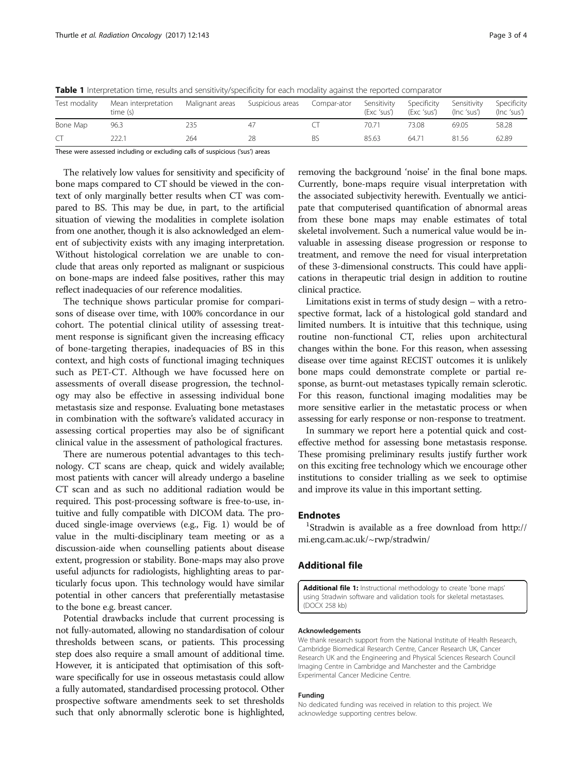<span id="page-2-0"></span>Table 1 Interpretation time, results and sensitivity/specificity for each modality against the reported comparator

| Test modality | Mean interpretation<br>time (s) | Malignant areas | Suspicious areas | Compar-ator | Sensitivity<br>(Exc 'sus') | Specificity<br>(Exc 'sus') | Sensitivity<br>(Inc 'sus') | Specificity<br>(Inc 'sus') |
|---------------|---------------------------------|-----------------|------------------|-------------|----------------------------|----------------------------|----------------------------|----------------------------|
| Bone Map      | 96.3                            | 235             |                  |             | 70.71                      | 73.08                      | 69.05                      | 58.28                      |
| C             | 222.1                           | 264             |                  |             | 85.63                      | $64.7^{\circ}$             | 81.56                      | 62.89                      |

These were assessed including or excluding calls of suspicious ('sus') areas

The relatively low values for sensitivity and specificity of bone maps compared to CT should be viewed in the context of only marginally better results when CT was compared to BS. This may be due, in part, to the artificial situation of viewing the modalities in complete isolation from one another, though it is also acknowledged an element of subjectivity exists with any imaging interpretation. Without histological correlation we are unable to conclude that areas only reported as malignant or suspicious on bone-maps are indeed false positives, rather this may reflect inadequacies of our reference modalities.

The technique shows particular promise for comparisons of disease over time, with 100% concordance in our cohort. The potential clinical utility of assessing treatment response is significant given the increasing efficacy of bone-targeting therapies, inadequacies of BS in this context, and high costs of functional imaging techniques such as PET-CT. Although we have focussed here on assessments of overall disease progression, the technology may also be effective in assessing individual bone metastasis size and response. Evaluating bone metastases in combination with the software's validated accuracy in assessing cortical properties may also be of significant clinical value in the assessment of pathological fractures.

There are numerous potential advantages to this technology. CT scans are cheap, quick and widely available; most patients with cancer will already undergo a baseline CT scan and as such no additional radiation would be required. This post-processing software is free-to-use, intuitive and fully compatible with DICOM data. The produced single-image overviews (e.g., Fig. [1](#page-1-0)) would be of value in the multi-disciplinary team meeting or as a discussion-aide when counselling patients about disease extent, progression or stability. Bone-maps may also prove useful adjuncts for radiologists, highlighting areas to particularly focus upon. This technology would have similar potential in other cancers that preferentially metastasise to the bone e.g. breast cancer.

Potential drawbacks include that current processing is not fully-automated, allowing no standardisation of colour thresholds between scans, or patients. This processing step does also require a small amount of additional time. However, it is anticipated that optimisation of this software specifically for use in osseous metastasis could allow a fully automated, standardised processing protocol. Other prospective software amendments seek to set thresholds such that only abnormally sclerotic bone is highlighted, removing the background 'noise' in the final bone maps. Currently, bone-maps require visual interpretation with the associated subjectivity herewith. Eventually we anticipate that computerised quantification of abnormal areas from these bone maps may enable estimates of total skeletal involvement. Such a numerical value would be invaluable in assessing disease progression or response to treatment, and remove the need for visual interpretation of these 3-dimensional constructs. This could have applications in therapeutic trial design in addition to routine clinical practice.

Limitations exist in terms of study design – with a retrospective format, lack of a histological gold standard and limited numbers. It is intuitive that this technique, using routine non-functional CT, relies upon architectural changes within the bone. For this reason, when assessing disease over time against RECIST outcomes it is unlikely bone maps could demonstrate complete or partial response, as burnt-out metastases typically remain sclerotic. For this reason, functional imaging modalities may be more sensitive earlier in the metastatic process or when assessing for early response or non-response to treatment.

In summary we report here a potential quick and costeffective method for assessing bone metastasis response. These promising preliminary results justify further work on this exciting free technology which we encourage other institutions to consider trialling as we seek to optimise and improve its value in this important setting.

#### **Endnotes**

<sup>1</sup>Stradwin is available as a free download from [http://](http://mi.eng.cam.ac.uk/~rwp/stradwin) [mi.eng.cam.ac.uk/~rwp/stradwin/](http://mi.eng.cam.ac.uk/~rwp/stradwin)

#### Additional file

[Additional file 1:](dx.doi.org/10.1186/s13014-017-0880-2) Instructional methodology to create 'bone maps' using Stradwin software and validation tools for skeletal metastases. (DOCX 258 kb)

#### Acknowledgements

We thank research support from the National Institute of Health Research, Cambridge Biomedical Research Centre, Cancer Research UK, Cancer Research UK and the Engineering and Physical Sciences Research Council Imaging Centre in Cambridge and Manchester and the Cambridge Experimental Cancer Medicine Centre.

#### Funding

No dedicated funding was received in relation to this project. We acknowledge supporting centres below.